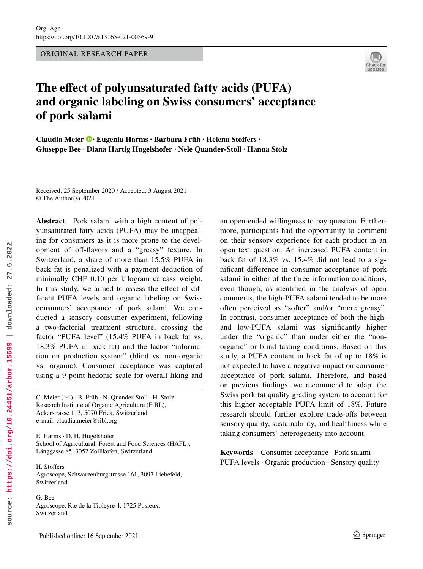ORIGINAL RESEARCH PAPER



# **The efect of polyunsaturated fatty acids (PUFA) and organic labeling on Swiss consumers' acceptance of pork salami**

**Claudia Meier · Eugenia Harms · Barbara Früh · Helena Stofers · Giuseppe Bee · Diana Hartig Hugelshofer · Nele Quander‑Stoll · Hanna Stolz** 

Received: 25 September 2020 / Accepted: 3 August 2021 © The Author(s) 2021

**Abstract** Pork salami with a high content of polyunsaturated fatty acids (PUFA) may be unappealing for consumers as it is more prone to the development of off-flavors and a "greasy" texture. In Switzerland, a share of more than 15.5% PUFA in back fat is penalized with a payment deduction of minimally CHF 0.10 per kilogram carcass weight. In this study, we aimed to assess the effect of different PUFA levels and organic labeling on Swiss consumers' acceptance of pork salami. We conducted a sensory consumer experiment, following a two-factorial treatment structure, crossing the factor "PUFA level" (15.4% PUFA in back fat vs. 18.3% PUFA in back fat) and the factor "information on production system" (blind vs. non-organic vs. organic). Consumer acceptance was captured using a 9-point hedonic scale for overall liking and

E. Harms · D. H. Hugelshofer School of Agricultural, Forest and Food Sciences (HAFL), Länggasse 85, 3052 Zollikofen, Switzerland

H. Stofers Agroscope, Schwarzenburgstrasse 161, 3097 Liebefeld, Switzerland

G. Bee Agroscope, Rte de la Tioleyre 4, 1725 Posieux, Switzerland

an open-ended willingness to pay question. Furthermore, participants had the opportunity to comment on their sensory experience for each product in an open text question. An increased PUFA content in back fat of 18.3% vs. 15.4% did not lead to a signifcant diference in consumer acceptance of pork salami in either of the three information conditions, even though, as identifed in the analysis of open comments, the high-PUFA salami tended to be more often perceived as "softer" and/or "more greasy". In contrast, consumer acceptance of both the highand low-PUFA salami was signifcantly higher under the "organic" than under either the "nonorganic" or blind tasting conditions. Based on this study, a PUFA content in back fat of up to 18% is not expected to have a negative impact on consumer acceptance of pork salami. Therefore, and based on previous fndings, we recommend to adapt the Swiss pork fat quality grading system to account for this higher acceptable PUFA limit of 18%. Future research should further explore trade-ofs between sensory quality, sustainability, and healthiness while taking consumers' heterogeneity into account.

**Keywords** Consumer acceptance · Pork salami · PUFA levels · Organic production · Sensory quality

C. Meier ( $\boxtimes$ ) · B. Früh · N. Quander-Stoll · H. Stolz Research Institute of Organic Agriculture (FiBL), Ackerstrasse 113, 5070 Frick, Switzerland e-mail: claudia.meier@fbl.org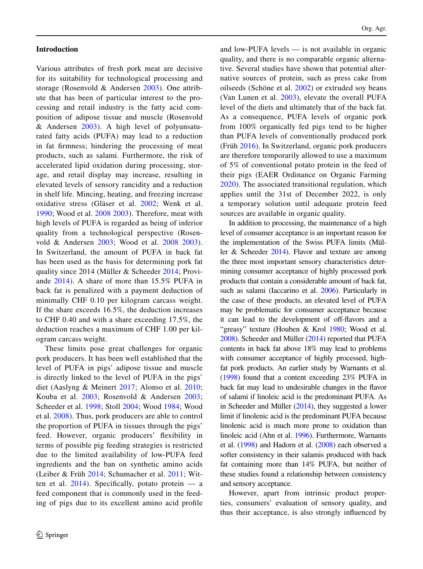## **Introduction**

Various attributes of fresh pork meat are decisive for its suitability for technological processing and storage (Rosenvold & Andersen 2003). One attribute that has been of particular interest to the processing and retail industry is the fatty acid composition of adipose tissue and muscle (Rosenvold & Andersen 2003). A high level of polyunsaturated fatty acids (PUFA) may lead to a reduction in fat frmness; hindering the processing of meat products, such as salami. Furthermore, the risk of accelerated lipid oxidation during processing, storage, and retail display may increase, resulting in elevated levels of sensory rancidity and a reduction in shelf life. Mincing, heating, and freezing increase oxidative stress (Gläser et al. 2002; Wenk et al. 1990; Wood et al. 2008 2003). Therefore, meat with high levels of PUFA is regarded as being of inferior quality from a technological perspective (Rosenvold & Andersen 2003; Wood et al. 2008 2003). In Switzerland, the amount of PUFA in back fat has been used as the basis for determining pork fat quality since 2014 (Müller & Scheeder 2014; Proviande 2014). A share of more than 15.5% PUFA in back fat is penalized with a payment deduction of minimally CHF 0.10 per kilogram carcass weight. If the share exceeds 16.5%, the deduction increases to CHF 0.40 and with a share exceeding 17.5%, the deduction reaches a maximum of CHF 1.00 per kilogram carcass weight.

These limits pose great challenges for organic pork producers. It has been well established that the level of PUFA in pigs' adipose tissue and muscle is directly linked to the level of PUFA in the pigs' diet (Aaslyng & Meinert 2017; Alonso et al. 2010; Kouba et al. 2003; Rosenvold & Andersen 2003; Scheeder et al. 1998; Stoll 2004; Wood 1984; Wood et al. 2008). Thus, pork producers are able to control the proportion of PUFA in tissues through the pigs' feed. However, organic producers' fexibility in terms of possible pig feeding strategies is restricted due to the limited availability of low-PUFA feed ingredients and the ban on synthetic amino acids (Leiber & Früh 2014; Schumacher et al. 2011; Witten et al.  $2014$ ). Specifically, potato protein — a feed component that is commonly used in the feeding of pigs due to its excellent amino acid profle and low-PUFA levels — is not available in organic quality, and there is no comparable organic alternative. Several studies have shown that potential alternative sources of protein, such as press cake from oilseeds (Schöne et al. 2002) or extruded soy beans (Van Lunen et al. 2003), elevate the overall PUFA level of the diets and ultimately that of the back fat. As a consequence, PUFA levels of organic pork from 100% organically fed pigs tend to be higher than PUFA levels of conventionally produced pork (Früh 2016). In Switzerland, organic pork producers are therefore temporarily allowed to use a maximum of 5% of conventional potato protein in the feed of their pigs (EAER Ordinance on Organic Farming 2020). The associated transitional regulation, which applies until the 31st of December 2022, is only a temporary solution until adequate protein feed sources are available in organic quality.

In addition to processing, the maintenance of a high level of consumer acceptance is an important reason for the implementation of the Swiss PUFA limits (Müller & Scheeder 2014). Flavor and texture are among the three most important sensory characteristics determining consumer acceptance of highly processed pork products that contain a considerable amount of back fat, such as salami (Iaccarino et al. 2006). Particularly in the case of these products, an elevated level of PUFA may be problematic for consumer acceptance because it can lead to the development of off-flavors and a "greasy" texture (Houben & Krol 1980; Wood et al. 2008). Scheeder and Müller (2014) reported that PUFA contents in back fat above 18% may lead to problems with consumer acceptance of highly processed, highfat pork products. An earlier study by Warnants et al. (1998) found that a content exceeding 23% PUFA in back fat may lead to undesirable changes in the favor of salami if linoleic acid is the predominant PUFA. As in Scheeder and Müller (2014), they suggested a lower limit if linolenic acid is the predominant PUFA because linolenic acid is much more prone to oxidation than linoleic acid (Ahn et al. 1996). Furthermore, Warnants et al. (1998) and Hadorn et al. (2008) each observed a softer consistency in their salamis produced with back fat containing more than 14% PUFA, but neither of these studies found a relationship between consistency and sensory acceptance.

However, apart from intrinsic product properties, consumers' evaluation of sensory quality, and thus their acceptance, is also strongly infuenced by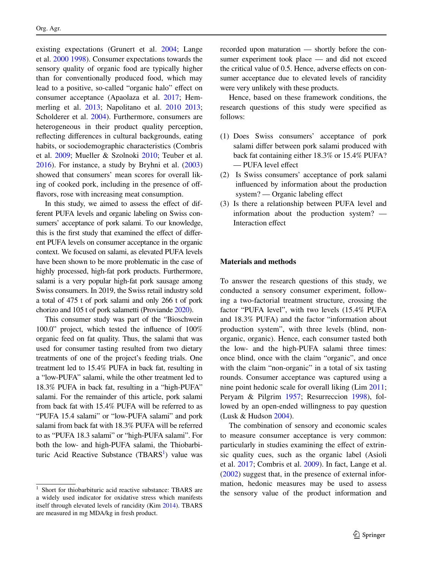existing expectations (Grunert et al. 2004; Lange et al. 2000 1998). Consumer expectations towards the sensory quality of organic food are typically higher than for conventionally produced food, which may lead to a positive, so-called "organic halo" effect on consumer acceptance (Apaolaza et al. 2017; Hemmerling et al. 2013; Napolitano et al. 2010 2013; Scholderer et al. 2004). Furthermore, consumers are heterogeneous in their product quality perception, refecting diferences in cultural backgrounds, eating habits, or sociodemographic characteristics (Combris et al. 2009; Mueller & Szolnoki 2010; Teuber et al. 2016). For instance, a study by Bryhni et al. (2003) showed that consumers' mean scores for overall liking of cooked pork, including in the presence of offfavors, rose with increasing meat consumption.

In this study, we aimed to assess the effect of different PUFA levels and organic labeling on Swiss consumers' acceptance of pork salami. To our knowledge, this is the first study that examined the effect of different PUFA levels on consumer acceptance in the organic context. We focused on salami, as elevated PUFA levels have been shown to be more problematic in the case of highly processed, high-fat pork products. Furthermore, salami is a very popular high-fat pork sausage among Swiss consumers. In 2019, the Swiss retail industry sold a total of 475 t of pork salami and only 266 t of pork chorizo and 105 t of pork salametti (Proviande 2020).

This consumer study was part of the "Bioschwein 100.0" project, which tested the infuence of 100% organic feed on fat quality. Thus, the salami that was used for consumer tasting resulted from two dietary treatments of one of the project's feeding trials. One treatment led to 15.4% PUFA in back fat, resulting in a "low-PUFA" salami, while the other treatment led to 18.3% PUFA in back fat, resulting in a "high-PUFA" salami. For the remainder of this article, pork salami from back fat with 15.4% PUFA will be referred to as "PUFA 15.4 salami" or "low-PUFA salami" and pork salami from back fat with 18.3% PUFA will be referred to as "PUFA 18.3 salami" or "high-PUFA salami". For both the low- and high-PUFA salami, the Thiobarbituric Acid Reactive Substance (TBARS<sup>1</sup>) value was recorded upon maturation — shortly before the consumer experiment took place — and did not exceed the critical value of 0.5. Hence, adverse effects on consumer acceptance due to elevated levels of rancidity were very unlikely with these products.

Hence, based on these framework conditions, the research questions of this study were specifed as follows:

- (1) Does Swiss consumers' acceptance of pork salami difer between pork salami produced with back fat containing either 18.3% or 15.4% PUFA? — PUFA level efect
- (2) Is Swiss consumers' acceptance of pork salami infuenced by information about the production system? — Organic labeling effect
- (3) Is there a relationship between PUFA level and information about the production system? — Interaction effect

## **Materials and methods**

To answer the research questions of this study, we conducted a sensory consumer experiment, following a two-factorial treatment structure, crossing the factor "PUFA level", with two levels (15.4% PUFA and 18.3% PUFA) and the factor "information about production system", with three levels (blind, nonorganic, organic). Hence, each consumer tasted both the low- and the high-PUFA salami three times: once blind, once with the claim "organic", and once with the claim "non-organic" in a total of six tasting rounds. Consumer acceptance was captured using a nine point hedonic scale for overall liking (Lim 2011; Peryam & Pilgrim 1957; Resurreccion 1998), followed by an open-ended willingness to pay question (Lusk & Hudson 2004).

The combination of sensory and economic scales to measure consumer acceptance is very common: particularly in studies examining the efect of extrinsic quality cues, such as the organic label (Asioli et al. 2017; Combris et al. 2009). In fact, Lange et al. (2002) suggest that, in the presence of external information, hedonic measures may be used to assess <sup>1</sup> Short for thiobarbituric acid reactive substance: TBARS are the sensory value of the product information and 1.1

a widely used indicator for oxidative stress which manifests itself through elevated levels of rancidity (Kim 2014). TBARS are measured in mg MDA/kg in fresh product.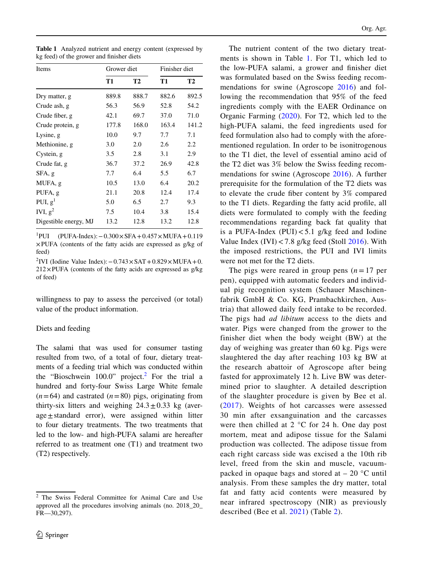|  | <b>Table 1</b> Analyzed nutrient and energy content (expressed by |  |  |
|--|-------------------------------------------------------------------|--|--|
|  | kg feed) of the grower and finisher diets                         |  |  |

| Items                 | Grower diet |           |       | Finisher diet |  |  |
|-----------------------|-------------|-----------|-------|---------------|--|--|
|                       | T1          | <b>T2</b> | T1    | T2            |  |  |
| Dry matter, g         | 889.8       | 888.7     | 882.6 | 892.5         |  |  |
| Crude ash, g          | 56.3        | 56.9      | 52.8  | 54.2          |  |  |
| Crude fiber, g        | 42.1        | 69.7      | 37.0  | 71.0          |  |  |
| Crude protein, g      | 177.8       | 168.0     | 163.4 | 141.2         |  |  |
| Lysine, g             | 10.0        | 9.7       | 7.7   | 7.1           |  |  |
| Methionine, g         | 3.0         | 2.0       | 2.6   | 2.2           |  |  |
| Cystein, g            | 3.5         | 2.8       | 3.1   | 2.9           |  |  |
| Crude fat, g          | 36.7        | 37.2      | 26.9  | 42.8          |  |  |
| SFA, g                | 7.7         | 6.4       | 5.5   | 6.7           |  |  |
| MUFA, g               | 10.5        | 13.0      | 6.4   | 20.2          |  |  |
| PUFA, g               | 21.1        | 20.8      | 12.4  | 17.4          |  |  |
| PUI, $g1$             | 5.0         | 6.5       | 2.7   | 9.3           |  |  |
| IVI, $g^2$            | 7.5         | 10.4      | 3.8   | 15.4          |  |  |
| Digestible energy, MJ | 13.2        | 12.8      | 13.2  | 12.8          |  |  |

 $^{1}$ PUI PUI (PUFA-Index):−0.300×SFA+0.457×MUFA+0.119 ×PUFA (contents of the fatty acids are expressed as g/kg of feed)

<sup>2</sup>IVI (Iodine Value Index): −0.743 × SAT + 0.829 × MUFA + 0.  $212\times$ PUFA (contents of the fatty acids are expressed as g/kg of feed)

willingness to pay to assess the perceived (or total) value of the product information.

# Diets and feeding

The salami that was used for consumer tasting resulted from two, of a total of four, dietary treatments of a feeding trial which was conducted within the "Bioschwein  $100.0$ " project.<sup>2</sup> For the trial a hundred and forty-four Swiss Large White female  $(n=64)$  and castrated  $(n=80)$  pigs, originating from thirty-six litters and weighing  $24.3 \pm 0.33$  kg (average±standard error), were assigned within litter to four dietary treatments. The two treatments that led to the low- and high-PUFA salami are hereafter referred to as treatment one (T1) and treatment two (T2) respectively.

The nutrient content of the two dietary treatments is shown in Table 1. For T1, which led to the low-PUFA salami, a grower and fnisher diet was formulated based on the Swiss feeding recommendations for swine (Agroscope 2016) and following the recommendation that 95% of the feed ingredients comply with the EAER Ordinance on Organic Farming (2020). For T2, which led to the high-PUFA salami, the feed ingredients used for feed formulation also had to comply with the aforementioned regulation. In order to be isonitrogenous to the T1 diet, the level of essential amino acid of the T2 diet was 3% below the Swiss feeding recommendations for swine (Agroscope 2016). A further prerequisite for the formulation of the T2 diets was to elevate the crude fber content by 3% compared to the T1 diets. Regarding the fatty acid profle, all diets were formulated to comply with the feeding recommendations regarding back fat quality that is a PUFA-Index  $(PUI) < 5.1$  g/kg feed and Iodine Value Index  $(IVI) < 7.8$  g/kg feed (Stoll 2016). With the imposed restrictions, the PUI and IVI limits were not met for the T2 diets.

The pigs were reared in group pens  $(n=17$  per pen), equipped with automatic feeders and individual pig recognition system (Schauer Maschinenfabrik GmbH & Co. KG, Prambachkirchen, Austria) that allowed daily feed intake to be recorded. The pigs had *ad libitum* access to the diets and water. Pigs were changed from the grower to the finisher diet when the body weight (BW) at the day of weighing was greater than 60 kg. Pigs were slaughtered the day after reaching 103 kg BW at the research abattoir of Agroscope after being fasted for approximately 12 h. Live BW was determined prior to slaughter. A detailed description of the slaughter procedure is given by Bee et al. (2017). Weights of hot carcasses were assessed 30 min after exsanguination and the carcasses were then chilled at  $2 \degree$ C for 24 h. One day post mortem, meat and adipose tissue for the Salami production was collected. The adipose tissue from each right carcass side was excised a the 10th rib level, freed from the skin and muscle, vacuumpacked in opaque bags and stored at  $-20$  °C until analysis. From these samples the dry matter, total fat and fatty acid contents were measured by near infrared spectroscopy (NIR) as previously described (Bee et al. 2021) (Table 2).

<sup>2</sup> The Swiss Federal Committee for Animal Care and Use approved all the procedures involving animals (no. 2018\_20\_ FR—30,297).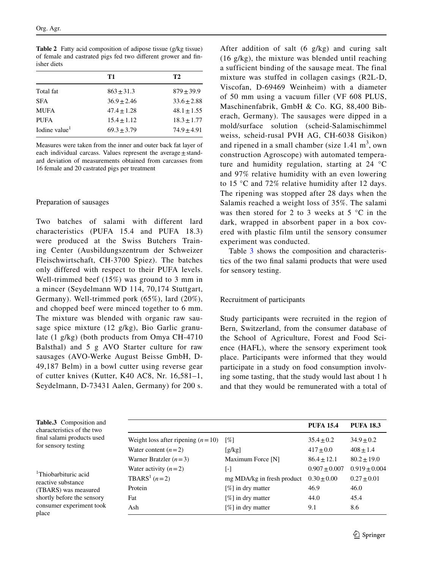**Table 2** Fatty acid composition of adipose tissue (g/kg tissue) of female and castrated pigs fed two diferent grower and fnisher diets

|                           | T1            | T2            |
|---------------------------|---------------|---------------|
| Total fat                 | $863 + 31.3$  | $879 + 39.9$  |
| <b>SFA</b>                | $36.9 + 2.46$ | $33.6 + 2.88$ |
| <b>MUFA</b>               | $47.4 + 1.28$ | $48.1 + 1.55$ |
| <b>PUFA</b>               | $15.4 + 1.12$ | $18.3 + 1.77$ |
| Iodine value <sup>1</sup> | $69.3 + 3.79$ | $74.9 + 4.91$ |

Measures were taken from the inner and outer back fat layer of each individual carcass. Values represent the average $\pm$ standard deviation of measurements obtained from carcasses from 16 female and 20 castrated pigs per treatment

# Preparation of sausages

Two batches of salami with different lard characteristics (PUFA 15.4 and PUFA 18.3) were produced at the Swiss Butchers Training Center (Ausbildungszentrum der Schweizer Fleischwirtschaft, CH-3700 Spiez). The batches only differed with respect to their PUFA levels. Well-trimmed beef (15%) was ground to 3 mm in a mincer (Seydelmann WD 114, 70,174 Stuttgart, Germany). Well-trimmed pork (65%), lard (20%), and chopped beef were minced together to 6 mm. The mixture was blended with organic raw sausage spice mixture (12 g/kg), Bio Garlic granulate (1 g/kg) (both products from Omya CH-4710 Balsthal) and 5 g AVO Starter culture for raw sausages (AVO-Werke August Beisse GmbH, D-49,187 Belm) in a bowl cutter using reverse gear of cutter knives (Kutter, K40 AC8, Nr. 16,581–1, Seydelmann, D-73431 Aalen, Germany) for 200 s.

**Table.3** Composition and characteristics of the two fnal salami products used for sensory testing

1 Thiobarbituric acid reactive substance (TBARS) was measured shortly before the sensory consumer experiment took place

After addition of salt (6 g/kg) and curing salt (16 g/kg), the mixture was blended until reaching a sufficient binding of the sausage meat. The final mixture was stuffed in collagen casings (R2L-D, Viscofan, D-69469 Weinheim) with a diameter of 50 mm using a vacuum filler (VF 608 PLUS, Maschinenfabrik, GmbH & Co. KG, 88,400 Biberach, Germany). The sausages were dipped in a mold/surface solution (scheid-Salamischimmel weiss, scheid-rusal PVH AG, CH-6038 Gisikon) and ripened in a small chamber (size  $1.41 \text{ m}^3$ , own construction Agroscope) with automated temperature and humidity regulation, starting at 24 °C and 97% relative humidity with an even lowering to 15 °C and 72% relative humidity after 12 days. The ripening was stopped after 28 days when the Salamis reached a weight loss of 35%. The salami was then stored for 2 to 3 weeks at  $5^{\circ}$ C in the dark, wrapped in absorbent paper in a box covered with plastic film until the sensory consumer experiment was conducted.

Table 3 shows the composition and characteristics of the two fnal salami products that were used for sensory testing.

# Recruitment of participants

Study participants were recruited in the region of Bern, Switzerland, from the consumer database of the School of Agriculture, Forest and Food Science (HAFL), where the sensory experiment took place. Participants were informed that they would participate in a study on food consumption involving some tasting, that the study would last about 1 h and that they would be remunerated with a total of

|                                     |                            | <b>PUFA 15.4</b>  | <b>PUFA 18.3</b> |
|-------------------------------------|----------------------------|-------------------|------------------|
| Weight loss after ripening $(n=10)$ | [%]                        | $35.4 \pm 0.2$    | $34.9 + 0.2$     |
| Water content $(n=2)$               | [g/kg]                     | $417 + 0.0$       | $408 \pm 1.4$    |
| Warner Bratzler $(n=3)$             | Maximum Force [N]          | $86.4 + 12.1$     | $80.2 + 19.0$    |
| Water activity $(n=2)$              | [-]                        | $0.907 \pm 0.007$ | $0.919 + 0.004$  |
| TBARS <sup>1</sup> $(n=2)$          | mg MDA/kg in fresh product | $0.30 + 0.00$     | $0.27 \pm 0.01$  |
| Protein                             | [%] in dry matter          | 46.9              | 46.0             |
| Fat                                 | $[\%]$ in dry matter       | 44.0              | 45.4             |
| Ash                                 | $[\%]$ in dry matter       | 9.1               | 8.6              |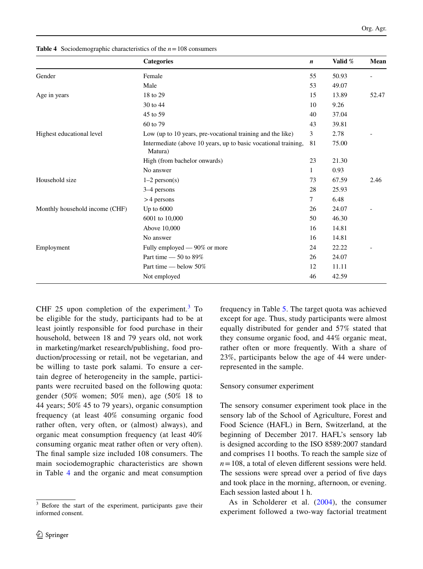|                                | <b>Categories</b>                                                         | $\boldsymbol{n}$ | Valid % | Mean  |
|--------------------------------|---------------------------------------------------------------------------|------------------|---------|-------|
| Gender                         | Female                                                                    | 55               | 50.93   |       |
|                                | Male                                                                      | 53               | 49.07   |       |
| Age in years                   | 18 to 29                                                                  | 15               | 13.89   | 52.47 |
|                                | 30 to 44                                                                  | 10               | 9.26    |       |
|                                | 45 to 59                                                                  | 40               | 37.04   |       |
|                                | 60 to 79                                                                  | 43               | 39.81   |       |
| Highest educational level      | Low (up to 10 years, pre-vocational training and the like)                | 3                | 2.78    |       |
|                                | Intermediate (above 10 years, up to basic vocational training,<br>Matura) | 81               | 75.00   |       |
|                                | High (from bachelor onwards)                                              | 23               | 21.30   |       |
|                                | No answer                                                                 | 1                | 0.93    |       |
| Household size                 | $1-2$ person(s)                                                           | 73               | 67.59   | 2.46  |
|                                | 3–4 persons                                                               | 28               | 25.93   |       |
|                                | $>4$ persons                                                              | 7                | 6.48    |       |
| Monthly household income (CHF) | Up to $6000$                                                              | 26               | 24.07   |       |
|                                | 6001 to 10,000                                                            | 50               | 46.30   |       |
|                                | Above 10,000                                                              | 16               | 14.81   |       |
|                                | No answer                                                                 | 16               | 14.81   |       |
| Employment                     | Fully employed — 90% or more                                              | 24               | 22.22   |       |
|                                | Part time $-50$ to 89%                                                    | 26               | 24.07   |       |
|                                | Part time — below 50%                                                     | 12               | 11.11   |       |
|                                | Not employed                                                              | 46               | 42.59   |       |
|                                |                                                                           |                  |         |       |

**Table 4** Sociodemographic characteristics of the  $n = 108$  consumers

CHF 25 upon completion of the experiment. $3$  To be eligible for the study, participants had to be at least jointly responsible for food purchase in their household, between 18 and 79 years old, not work in marketing/market research/publishing, food production/processing or retail, not be vegetarian, and be willing to taste pork salami. To ensure a certain degree of heterogeneity in the sample, participants were recruited based on the following quota: gender (50% women; 50% men), age (50% 18 to 44 years; 50% 45 to 79 years), organic consumption frequency (at least 40% consuming organic food rather often, very often, or (almost) always), and organic meat consumption frequency (at least 40% consuming organic meat rather often or very often). The fnal sample size included 108 consumers. The main sociodemographic characteristics are shown in Table 4 and the organic and meat consumption

frequency in Table 5. The target quota was achieved except for age. Thus, study participants were almost equally distributed for gender and 57% stated that they consume organic food, and 44% organic meat, rather often or more frequently. With a share of 23%, participants below the age of 44 were underrepresented in the sample.

# Sensory consumer experiment

The sensory consumer experiment took place in the sensory lab of the School of Agriculture, Forest and Food Science (HAFL) in Bern, Switzerland, at the beginning of December 2017. HAFL's sensory lab is designed according to the ISO 8589:2007 standard and comprises 11 booths. To reach the sample size of  $n = 108$ , a total of eleven different sessions were held. The sessions were spread over a period of five days and took place in the morning, afternoon, or evening. Each session lasted about 1 h.

As in Scholderer et al. (2004), the consumer experiment followed a two-way factorial treatment

Before the start of the experiment, participants gave their informed consent.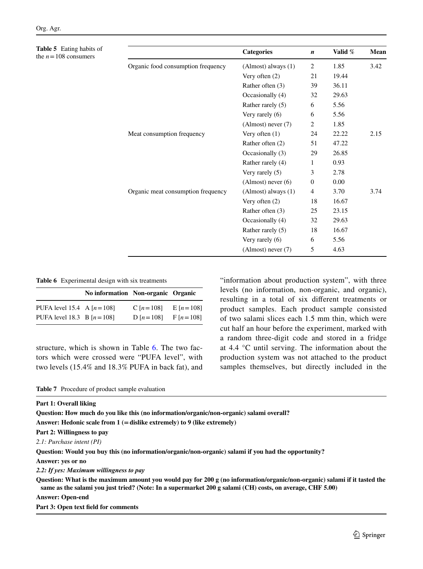**Table 5** Eating habits of the  $n = 108$  consumers

| Table 5 Eating habits of<br>the $n = 108$ consumers |                                    | <b>Categories</b>       | $\boldsymbol{n}$ | Valid % | Mean |
|-----------------------------------------------------|------------------------------------|-------------------------|------------------|---------|------|
|                                                     | Organic food consumption frequency | $(Almost)$ always $(1)$ | 2                | 1.85    | 3.42 |
|                                                     |                                    | Very often $(2)$        | 21               | 19.44   |      |
|                                                     |                                    | Rather often (3)        | 39               | 36.11   |      |
|                                                     |                                    | Occasionally (4)        | 32               | 29.63   |      |
|                                                     |                                    | Rather rarely (5)       | 6                | 5.56    |      |
|                                                     |                                    | Very rarely (6)         | 6                | 5.56    |      |
|                                                     |                                    | (Almost) never (7)      | 2                | 1.85    |      |
|                                                     | Meat consumption frequency         | Very often $(1)$        | 24               | 22.22   | 2.15 |
|                                                     |                                    | Rather often (2)        | 51               | 47.22   |      |
|                                                     |                                    | Occasionally (3)        | 29               | 26.85   |      |
|                                                     |                                    | Rather rarely (4)       | 1                | 0.93    |      |
|                                                     |                                    | Very rarely (5)         | 3                | 2.78    |      |
|                                                     |                                    | (Almost) never (6)      | $\mathbf{0}$     | 0.00    |      |
|                                                     | Organic meat consumption frequency | (Almost) always (1)     | $\overline{4}$   | 3.70    | 3.74 |
|                                                     |                                    | Very often $(2)$        | 18               | 16.67   |      |
|                                                     |                                    | Rather often (3)        | 25               | 23.15   |      |
|                                                     |                                    | Occasionally (4)        | 32               | 29.63   |      |
|                                                     |                                    | Rather rarely (5)       | 18               | 16.67   |      |
|                                                     |                                    | Very rarely (6)         | 6                | 5.56    |      |
|                                                     |                                    | (Almost) never (7)      | 5                | 4.63    |      |

#### **Table 6** Experimental design with six treatments

|                               | No information Non-organic Organic |             |            |
|-------------------------------|------------------------------------|-------------|------------|
| PUFA level 15.4 A $[n=108]$   |                                    | C $[n=108]$ | $E[n=108]$ |
| PUFA level 18.3 B $[n = 108]$ |                                    | D $[n=108]$ | $F[n=108]$ |

structure, which is shown in Table 6. The two factors which were crossed were "PUFA level", with two levels (15.4% and 18.3% PUFA in back fat), and "information about production system", with three levels (no information, non-organic, and organic), resulting in a total of six diferent treatments or product samples. Each product sample consisted of two salami slices each 1.5 mm thin, which were cut half an hour before the experiment, marked with a random three-digit code and stored in a fridge at 4.4 °C until serving. The information about the production system was not attached to the product samples themselves, but directly included in the

**Table 7** Procedure of product sample evaluation

| Part 1: Overall liking                                                                                                                                                                                                                 |
|----------------------------------------------------------------------------------------------------------------------------------------------------------------------------------------------------------------------------------------|
| Ouestion: How much do you like this (no information/organic/non-organic) salami overall?                                                                                                                                               |
| Answer: Hedonic scale from $1$ (= dislike extremely) to 9 (like extremely)                                                                                                                                                             |
| Part 2: Willingness to pay                                                                                                                                                                                                             |
| 2.1: Purchase intent (PI)                                                                                                                                                                                                              |
| Ouestion: Would you buy this (no information/organic/non-organic) salami if you had the opportunity?                                                                                                                                   |
| Answer: yes or no                                                                                                                                                                                                                      |
| 2.2: If yes: Maximum willingness to pay                                                                                                                                                                                                |
| Question: What is the maximum amount you would pay for 200 g (no information/organic/non-organic) salami if it tasted the<br>same as the salami you just tried? (Note: In a supermarket 200 g salami (CH) costs, on average, CHF 5.00) |
| <b>Answer: Open-end</b>                                                                                                                                                                                                                |
| Part 3: Open text field for comments                                                                                                                                                                                                   |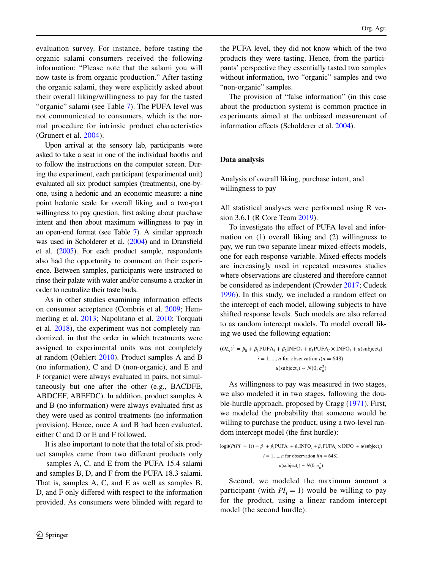evaluation survey. For instance, before tasting the organic salami consumers received the following information: "Please note that the salami you will now taste is from organic production." After tasting the organic salami, they were explicitly asked about their overall liking/willingness to pay for the tasted "organic" salami (see Table 7). The PUFA level was not communicated to consumers, which is the normal procedure for intrinsic product characteristics (Grunert et al. 2004).

Upon arrival at the sensory lab, participants were asked to take a seat in one of the individual booths and to follow the instructions on the computer screen. During the experiment, each participant (experimental unit) evaluated all six product samples (treatments), one-byone, using a hedonic and an economic measure: a nine point hedonic scale for overall liking and a two-part willingness to pay question, first asking about purchase intent and then about maximum willingness to pay in an open-end format (see Table 7). A similar approach was used in Scholderer et al. (2004) and in Dransfeld et al. (2005). For each product sample, respondents also had the opportunity to comment on their experience. Between samples, participants were instructed to rinse their palate with water and/or consume a cracker in order to neutralize their taste buds.

As in other studies examining information efects on consumer acceptance (Combris et al. 2009; Hemmerling et al. 2013; Napolitano et al. 2010; Torquati et al. 2018), the experiment was not completely randomized, in that the order in which treatments were assigned to experimental units was not completely at random (Oehlert 2010). Product samples A and B (no information), C and D (non-organic), and E and F (organic) were always evaluated in pairs, not simultaneously but one after the other (e.g., BACDFE, ABDCEF, ABEFDC). In addition, product samples A and B (no information) were always evaluated frst as they were used as control treatments (no information provision). Hence, once A and B had been evaluated, either C and D or E and F followed.

It is also important to note that the total of six product samples came from two diferent products only — samples A, C, and E from the PUFA 15.4 salami and samples B, D, and F from the PUFA 18.3 salami. That is, samples A, C, and E as well as samples B, D, and F only difered with respect to the information provided. As consumers were blinded with regard to

the PUFA level, they did not know which of the two products they were tasting. Hence, from the participants' perspective they essentially tasted two samples without information, two "organic" samples and two "non-organic" samples.

The provision of "false information" (in this case about the production system) is common practice in experiments aimed at the unbiased measurement of information effects (Scholderer et al. 2004).

# **Data analysis**

Analysis of overall liking, purchase intent, and willingness to pay

All statistical analyses were performed using R version 3.6.1 (R Core Team 2019).

To investigate the effect of PUFA level and information on (1) overall liking and (2) willingness to pay, we run two separate linear mixed-efects models, one for each response variable. Mixed-efects models are increasingly used in repeated measures studies where observations are clustered and therefore cannot be considered as independent (Crowder 2017; Cudeck 1996). In this study, we included a random effect on the intercept of each model, allowing subjects to have shifted response levels. Such models are also referred to as random intercept models. To model overall liking we used the following equation:

$$
(OLi)2 = \beta_0 + \beta_1 \text{PUFA}_i + \beta_2 \text{INFO}_i + \beta_3 \text{PUFA}_i \times \text{INFO}_i + u(\text{subject}_i)
$$
  

$$
i = 1, ..., n \text{ for observation } i(n = 648).
$$
  

$$
u(\text{subject}_i) \sim N(0, \sigma_u^2)
$$

As willingness to pay was measured in two stages, we also modeled it in two stages, following the double-hurdle approach, proposed by Cragg (1971). First, we modeled the probability that someone would be willing to purchase the product, using a two-level random intercept model (the frst hurdle):

$$
logit(P(PI_i = 1)) = \beta_0 + \beta_1 \text{PUFA}_i + \beta_2 \text{INFO}_i + \beta_3 \text{PUFA}_i \times \text{INFO}_i + u(\text{subject}_i)
$$
  

$$
i = 1, ..., n \text{ for observation } i(n = 648).
$$
  

$$
u(\text{subject}_i) \sim N(0, \sigma_u^2)
$$

Second, we modeled the maximum amount a participant (with  $PI_i = 1$ ) would be willing to pay for the product, using a linear random intercept model (the second hurdle):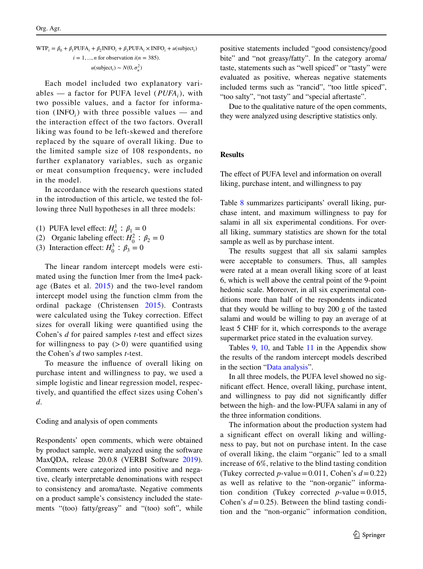$$
WTP_i = \beta_0 + \beta_1 \text{PUFA}_i + \beta_2 \text{INFO}_i + \beta_3 \text{PUFA}_i \times \text{INFO}_i + u(\text{subject}_i)
$$
  

$$
i = 1, ..., n \text{ for observation } i(n = 385).
$$
  

$$
u(\text{subject}_i) \sim N(0, \sigma_u^2)
$$

Each model included two explanatory variables — a factor for PUFA level (*PUFAi*), with two possible values, and a factor for information (INFO<sub>i</sub>) with three possible values  $-$  and the interaction effect of the two factors. Overall liking was found to be left-skewed and therefore replaced by the square of overall liking. Due to the limited sample size of 108 respondents, no further explanatory variables, such as organic or meat consumption frequency, were included in the model.

In accordance with the research questions stated in the introduction of this article, we tested the following three Null hypotheses in all three models:

- (1) PUFA level effect:  $H_0^1$ :  $\beta_1 = 0$
- (2) Organic labeling effect:  $H_0^2$ :  $\beta_2 = 0$
- (3) Interaction effect:  $H_0^3$  :  $\beta_3 = 0$

The linear random intercept models were estimated using the function lmer from the lme4 package (Bates et al. 2015) and the two-level random intercept model using the function clmm from the ordinal package (Christensen 2015). Contrasts were calculated using the Tukey correction. Efect sizes for overall liking were quantifed using the Cohen's *d* for paired samples *t*-test and efect sizes for willingness to pay  $(>0)$  were quantified using the Cohen's *d* two samples *t*-test.

To measure the infuence of overall liking on purchase intent and willingness to pay, we used a simple logistic and linear regression model, respectively, and quantifed the efect sizes using Cohen's *d*.

#### Coding and analysis of open comments

Respondents' open comments, which were obtained by product sample, were analyzed using the software MaxQDA, release 20.0.8 (VERBI Software 2019). Comments were categorized into positive and negative, clearly interpretable denominations with respect to consistency and aroma/taste. Negative comments on a product sample's consistency included the statements "(too) fatty/greasy" and "(too) soft", while positive statements included "good consistency/good bite" and "not greasy/fatty". In the category aroma/ taste, statements such as "well spiced" or "tasty" were evaluated as positive, whereas negative statements included terms such as "rancid", "too little spiced", "too salty", "not tasty" and "special aftertaste".

Due to the qualitative nature of the open comments, they were analyzed using descriptive statistics only.

# **Results**

The effect of PUFA level and information on overall liking, purchase intent, and willingness to pay

Table 8 summarizes participants' overall liking, purchase intent, and maximum willingness to pay for salami in all six experimental conditions. For overall liking, summary statistics are shown for the total sample as well as by purchase intent.

The results suggest that all six salami samples were acceptable to consumers. Thus, all samples were rated at a mean overall liking score of at least 6, which is well above the central point of the 9-point hedonic scale. Moreover, in all six experimental conditions more than half of the respondents indicated that they would be willing to buy 200 g of the tasted salami and would be willing to pay an average of at least 5 CHF for it, which corresponds to the average supermarket price stated in the evaluation survey.

Tables 9, 10, and Table 11 in the Appendix show the results of the random intercept models described in the section "Data analysis".

In all three models, the PUFA level showed no signifcant efect. Hence, overall liking, purchase intent, and willingness to pay did not signifcantly difer between the high- and the low-PUFA salami in any of the three information conditions.

The information about the production system had a signifcant efect on overall liking and willingness to pay, but not on purchase intent. In the case of overall liking, the claim "organic" led to a small increase of 6%, relative to the blind tasting condition (Tukey corrected *p*-value = 0.011, Cohen's  $d = 0.22$ ) as well as relative to the "non-organic" information condition (Tukey corrected  $p$ -value = 0.015, Cohen's  $d = 0.25$ ). Between the blind tasting condition and the "non-organic" information condition,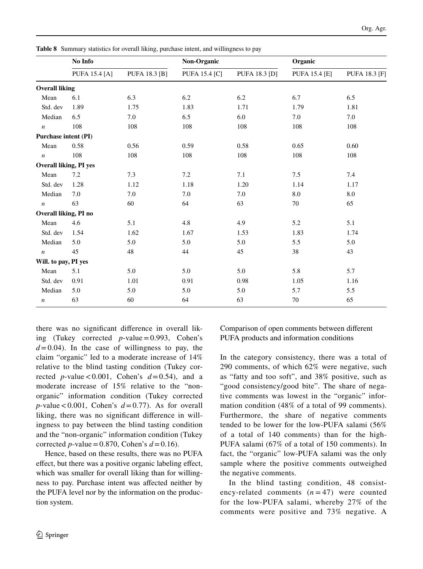|                               | No Info              |                      | Non-Organic          |                      | Organic              |                      |
|-------------------------------|----------------------|----------------------|----------------------|----------------------|----------------------|----------------------|
|                               | <b>PUFA 15.4 [A]</b> | <b>PUFA 18.3 [B]</b> | <b>PUFA 15.4 [C]</b> | <b>PUFA 18.3 [D]</b> | <b>PUFA 15.4 [E]</b> | <b>PUFA 18.3 [F]</b> |
| <b>Overall liking</b>         |                      |                      |                      |                      |                      |                      |
| Mean                          | 6.1                  | 6.3                  | 6.2                  | 6.2                  | 6.7                  | 6.5                  |
| Std. dev                      | 1.89                 | 1.75                 | 1.83                 | 1.71                 | 1.79                 | 1.81                 |
| Median                        | 6.5                  | 7.0                  | 6.5                  | 6.0                  | 7.0                  | 7.0                  |
| $\boldsymbol{n}$              | 108                  | 108                  | 108                  | 108                  | 108                  | 108                  |
| <b>Purchase intent (PI)</b>   |                      |                      |                      |                      |                      |                      |
| Mean                          | 0.58                 | 0.56                 | 0.59                 | 0.58                 | 0.65                 | 0.60                 |
| $\sqrt{n}$                    | 108                  | 108                  | 108                  | 108                  | 108                  | 108                  |
| <b>Overall liking, PI yes</b> |                      |                      |                      |                      |                      |                      |
| Mean                          | 7.2                  | 7.3                  | 7.2                  | 7.1                  | 7.5                  | 7.4                  |
| Std. dev                      | 1.28                 | 1.12                 | 1.18                 | 1.20                 | 1.14                 | 1.17                 |
| Median                        | 7.0                  | 7.0                  | 7.0                  | 7.0                  | 8.0                  | $\ \, 8.0$           |
| $\boldsymbol{n}$              | 63                   | 60                   | 64                   | 63                   | 70                   | 65                   |
| Overall liking, PI no         |                      |                      |                      |                      |                      |                      |
| Mean                          | 4.6                  | 5.1                  | 4.8                  | 4.9                  | 5.2                  | 5.1                  |
| Std. dev                      | 1.54                 | 1.62                 | 1.67                 | 1.53                 | 1.83                 | 1.74                 |
| Median                        | 5.0                  | 5.0                  | 5.0                  | 5.0                  | 5.5                  | 5.0                  |
| $\boldsymbol{n}$              | 45                   | 48                   | 44                   | 45                   | 38                   | 43                   |
| Will. to pay, PI yes          |                      |                      |                      |                      |                      |                      |
| Mean                          | 5.1                  | 5.0                  | 5.0                  | 5.0                  | 5.8                  | 5.7                  |

Std. dev 0.91 1.01 0.91 0.98 1.05 1.16 Median 5.0 5.0 5.0 5.0 5.7 5.5 *n* 63 60 64 63 70 65

there was no signifcant diference in overall liking (Tukey corrected *p*-value=0.993, Cohen's  $d=0.04$ ). In the case of willingness to pay, the claim "organic" led to a moderate increase of 14% relative to the blind tasting condition (Tukey corrected *p*-value < 0.001, Cohen's  $d=0.54$ , and a moderate increase of 15% relative to the "nonorganic" information condition (Tukey corrected *p*-value < 0.001, Cohen's  $d=0.77$ ). As for overall liking, there was no signifcant diference in willingness to pay between the blind tasting condition and the "non-organic" information condition (Tukey corrected *p*-value = 0.870, Cohen's  $d = 0.16$ .

Hence, based on these results, there was no PUFA efect, but there was a positive organic labeling efect, which was smaller for overall liking than for willingness to pay. Purchase intent was afected neither by the PUFA level nor by the information on the production system.

Comparison of open comments between diferent PUFA products and information conditions

In the category consistency, there was a total of 290 comments, of which 62% were negative, such as "fatty and too soft", and 38% positive, such as "good consistency/good bite". The share of negative comments was lowest in the "organic" information condition (48% of a total of 99 comments). Furthermore, the share of negative comments tended to be lower for the low-PUFA salami (56% of a total of 140 comments) than for the high-PUFA salami (67% of a total of 150 comments). In fact, the "organic" low-PUFA salami was the only sample where the positive comments outweighed the negative comments.

In the blind tasting condition, 48 consistency-related comments  $(n=47)$  were counted for the low-PUFA salami, whereby 27% of the comments were positive and 73% negative. A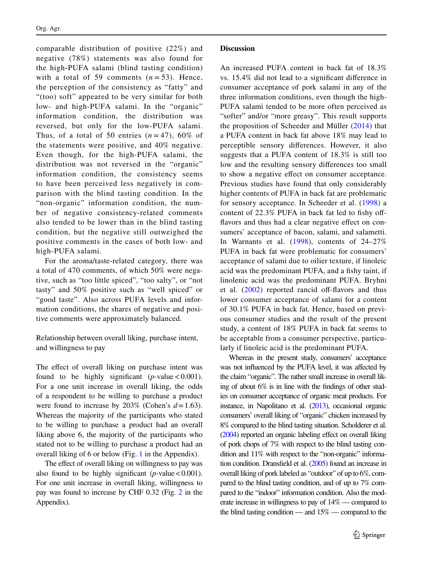comparable distribution of positive (22%) and negative (78%) statements was also found for the high-PUFA salami (blind tasting condition) with a total of 59 comments  $(n=53)$ . Hence, the perception of the consistency as "fatty" and "(too) soft" appeared to be very similar for both low- and high-PUFA salami. In the "organic" information condition, the distribution was reversed, but only for the low-PUFA salami. Thus, of a total of 50 entries  $(n=47)$ , 60% of the statements were positive, and 40% negative. Even though, for the high-PUFA salami, the distribution was not reversed in the "organic" information condition, the consistency seems to have been perceived less negatively in comparison with the blind tasting condition. In the "non-organic" information condition, the number of negative consistency-related comments also tended to be lower than in the blind tasting condition, but the negative still outweighed the positive comments in the cases of both low- and high-PUFA salami.

For the aroma/taste-related category, there was a total of 470 comments, of which 50% were negative, such as "too little spiced", "too salty", or "not tasty" and 50% positive such as "well spiced" or "good taste". Also across PUFA levels and information conditions, the shares of negative and positive comments were approximately balanced.

Relationship between overall liking, purchase intent, and willingness to pay

The effect of overall liking on purchase intent was found to be highly significant  $(p$ -value < 0.001). For a one unit increase in overall liking, the odds of a respondent to be willing to purchase a product were found to increase by  $203\%$  (Cohen's  $d=1.63$ ). Whereas the majority of the participants who stated to be willing to purchase a product had an overall liking above 6, the majority of the participants who stated not to be willing to purchase a product had an overall liking of 6 or below (Fig. 1 in the Appendix).

The effect of overall liking on willingness to pay was also found to be highly significant  $(p$ -value < 0.001). For one unit increase in overall liking, willingness to pay was found to increase by CHF 0.32 (Fig. 2 in the Appendix).

An increased PUFA content in back fat of 18.3% vs. 15.4% did not lead to a signifcant diference in consumer acceptance of pork salami in any of the three information conditions, even though the high-PUFA salami tended to be more often perceived as "softer" and/or "more greasy". This result supports the proposition of Scheeder and Müller (2014) that a PUFA content in back fat above 18% may lead to perceptible sensory diferences. However, it also suggests that a PUFA content of 18.3% is still too low and the resulting sensory diferences too small to show a negative efect on consumer acceptance. Previous studies have found that only considerably higher contents of PUFA in back fat are problematic for sensory acceptance. In Scheeder et al. (1998) a content of 22.3% PUFA in back fat led to fishy offflavors and thus had a clear negative effect on consumers' acceptance of bacon, salami, and salametti. In Warnants et al. (1998), contents of 24–27% PUFA in back fat were problematic for consumers' acceptance of salami due to oilier texture, if linoleic acid was the predominant PUFA, and a fshy taint, if linolenic acid was the predominant PUFA. Bryhni et al.  $(2002)$  reported rancid off-flavors and thus lower consumer acceptance of salami for a content of 30.1% PUFA in back fat. Hence, based on previous consumer studies and the result of the present study, a content of 18% PUFA in back fat seems to be acceptable from a consumer perspective, particularly if linoleic acid is the predominant PUFA.

Whereas in the present study, consumers' acceptance was not infuenced by the PUFA level, it was afected by the claim "organic". The rather small increase in overall liking of about 6% is in line with the fndings of other studies on consumer acceptance of organic meat products. For instance, in Napolitano et al. (2013), occasional organic consumers' overall liking of "organic" chicken increased by 8% compared to the blind tasting situation. Scholderer et al. (2004) reported an organic labeling efect on overall liking of pork chops of 7% with respect to the blind tasting condition and 11% with respect to the "non-organic" information condition. Dransfeld et al. (2005) found an increase in overall liking of pork labeled as "outdoor" of up to 6%, compared to the blind tasting condition, and of up to 7% compared to the "indoor" information condition. Also the moderate increase in willingness to pay of 14% — compared to the blind tasting condition — and 15% — compared to the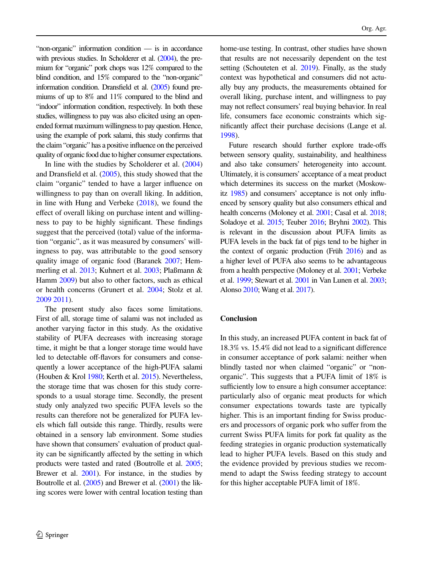"non-organic" information condition — is in accordance with previous studies. In Scholderer et al. (2004), the premium for "organic" pork chops was 12% compared to the blind condition, and 15% compared to the "non-organic" information condition. Dransfeld et al. (2005) found premiums of up to 8% and 11% compared to the blind and "indoor" information condition, respectively. In both these studies, willingness to pay was also elicited using an openended format maximum willingness to pay question. Hence, using the example of pork salami, this study confrms that the claim "organic" has a positive infuence on the perceived quality of organic food due to higher consumer expectations.

In line with the studies by Scholderer et al. (2004) and Dransfeld et al. (2005), this study showed that the claim "organic" tended to have a larger infuence on willingness to pay than on overall liking. In addition, in line with Hung and Verbeke (2018), we found the efect of overall liking on purchase intent and willingness to pay to be highly signifcant. These fndings suggest that the perceived (total) value of the information "organic", as it was measured by consumers' willingness to pay, was attributable to the good sensory quality image of organic food (Baranek 2007; Hemmerling et al. 2013; Kuhnert et al. 2003; Plaßmann & Hamm 2009) but also to other factors, such as ethical or health concerns (Grunert et al. 2004; Stolz et al. 2009 2011).

The present study also faces some limitations. First of all, storage time of salami was not included as another varying factor in this study. As the oxidative stability of PUFA decreases with increasing storage time, it might be that a longer storage time would have led to detectable off-flavors for consumers and consequently a lower acceptance of the high-PUFA salami (Houben & Krol 1980; Kerth et al. 2015). Nevertheless, the storage time that was chosen for this study corresponds to a usual storage time. Secondly, the present study only analyzed two specifc PUFA levels so the results can therefore not be generalized for PUFA levels which fall outside this range. Thirdly, results were obtained in a sensory lab environment. Some studies have shown that consumers' evaluation of product quality can be signifcantly afected by the setting in which products were tasted and rated (Boutrolle et al. 2005; Brewer et al. 2001). For instance, in the studies by Boutrolle et al. (2005) and Brewer et al. (2001) the liking scores were lower with central location testing than home-use testing. In contrast, other studies have shown that results are not necessarily dependent on the test setting (Schouteten et al. 2019). Finally, as the study context was hypothetical and consumers did not actually buy any products, the measurements obtained for overall liking, purchase intent, and willingness to pay may not refect consumers' real buying behavior. In real life, consumers face economic constraints which signifcantly afect their purchase decisions (Lange et al. 1998).

Future research should further explore trade-ofs between sensory quality, sustainability, and healthiness and also take consumers' heterogeneity into account. Ultimately, it is consumers' acceptance of a meat product which determines its success on the market (Moskowitz 1985) and consumers' acceptance is not only infuenced by sensory quality but also consumers ethical and health concerns (Moloney et al. 2001; Casal et al. 2018; Soladoye et al. 2015; Teuber 2016; Bryhni 2002). This is relevant in the discussion about PUFA limits as PUFA levels in the back fat of pigs tend to be higher in the context of organic production (Früh 2016) and as a higher level of PUFA also seems to be advantageous from a health perspective (Moloney et al. 2001; Verbeke et al. 1999; Stewart et al. 2001 in Van Lunen et al. 2003; Alonso 2010; Wang et al. 2017).

# **Conclusion**

In this study, an increased PUFA content in back fat of 18.3% vs. 15.4% did not lead to a signifcant diference in consumer acceptance of pork salami: neither when blindly tasted nor when claimed "organic" or "nonorganic". This suggests that a PUFA limit of 18% is sufficiently low to ensure a high consumer acceptance: particularly also of organic meat products for which consumer expectations towards taste are typically higher. This is an important fnding for Swiss producers and processors of organic pork who sufer from the current Swiss PUFA limits for pork fat quality as the feeding strategies in organic production systematically lead to higher PUFA levels. Based on this study and the evidence provided by previous studies we recommend to adapt the Swiss feeding strategy to account for this higher acceptable PUFA limit of 18%.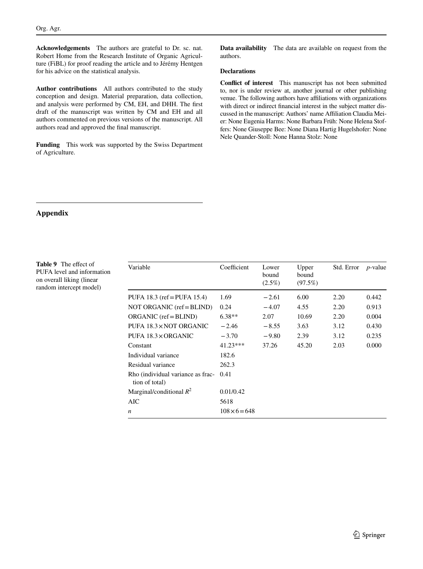**Acknowledgements** The authors are grateful to Dr. sc. nat. Robert Home from the Research Institute of Organic Agriculture (FiBL) for proof reading the article and to Jérémy Hentgen for his advice on the statistical analysis.

**Author contributions** All authors contributed to the study conception and design. Material preparation, data collection, and analysis were performed by CM, EH, and DHH. The frst draft of the manuscript was written by CM and EH and all authors commented on previous versions of the manuscript. All authors read and approved the fnal manuscript.

**Funding** This work was supported by the Swiss Department of Agriculture.

**Data availability** The data are available on request from the authors.

### **Declarations**

**Confict of interest** This manuscript has not been submitted to, nor is under review at, another journal or other publishing venue. The following authors have afliations with organizations with direct or indirect fnancial interest in the subject matter discussed in the manuscript: Authors' name Afliation Claudia Meier: None Eugenia Harms: None Barbara Früh: None Helena Stoffers: None Giuseppe Bee: None Diana Hartig Hugelshofer: None Nele Quander-Stoll: None Hanna Stolz: None

# **Appendix**

**Table 9** The effect of PUFA level and information on overall liking (linear random intercept model)

| Variable                                            | Coefficient          | Lower<br>bound<br>$(2.5\%)$ | Upper<br>bound<br>(97.5%) | Std. Error | <i>p</i> -value |
|-----------------------------------------------------|----------------------|-----------------------------|---------------------------|------------|-----------------|
| PUFA $18.3$ (ref = PUFA $15.4$ )                    | 1.69                 | $-2.61$                     | 6.00                      | 2.20       | 0.442           |
| NOT ORGANIC $(ref = BLIND)$                         | 0.24                 | $-4.07$                     | 4.55                      | 2.20       | 0.913           |
| $ORGANIC$ (ref = BLIND)                             | $6.38**$             | 2.07                        | 10.69                     | 2.20       | 0.004           |
| PUFA 18.3×NOT ORGANIC                               | $-2.46$              | $-8.55$                     | 3.63                      | 3.12       | 0.430           |
| PUFA 18.3 × ORGANIC                                 | $-3.70$              | $-9.80$                     | 2.39                      | 3.12       | 0.235           |
| Constant                                            | $41.23***$           | 37.26                       | 45.20                     | 2.03       | 0.000           |
| Individual variance                                 | 182.6                |                             |                           |            |                 |
| Residual variance                                   | 262.3                |                             |                           |            |                 |
| Rho (individual variance as frac-<br>tion of total) | 0.41                 |                             |                           |            |                 |
| Marginal/conditional $R^2$                          | 0.01/0.42            |                             |                           |            |                 |
| AIC                                                 | 5618                 |                             |                           |            |                 |
| $\boldsymbol{n}$                                    | $108 \times 6 = 648$ |                             |                           |            |                 |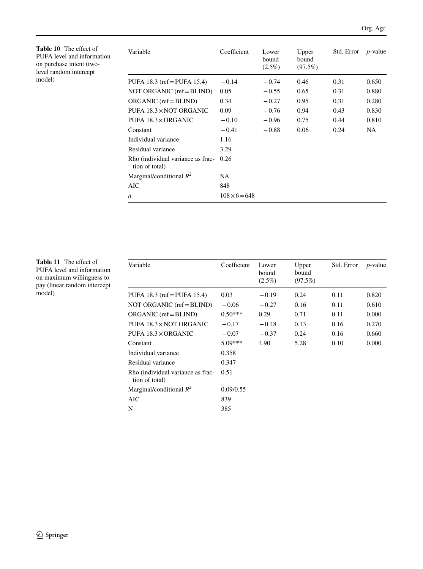**Table 10** The efect of PUFA level and information on purchase intent (twolevel random intercept model)

| Variable                                            | Coefficient          | Lower<br>bound<br>$(2.5\%)$ | Upper<br>bound<br>(97.5%) | Std. Error | $p$ -value |
|-----------------------------------------------------|----------------------|-----------------------------|---------------------------|------------|------------|
| PUFA 18.3 (ref = PUFA 15.4)                         | $-0.14$              | $-0.74$                     | 0.46                      | 0.31       | 0.650      |
| NOT ORGANIC (ref = BLIND)                           | 0.05                 | $-0.55$                     | 0.65                      | 0.31       | 0.880      |
| $ORGANIC$ (ref = BLIND)                             | 0.34                 | $-0.27$                     | 0.95                      | 0.31       | 0.280      |
| PUFA 18.3 × NOT ORGANIC                             | 0.09                 | $-0.76$                     | 0.94                      | 0.43       | 0.830      |
| PUFA 18.3×ORGANIC                                   | $-0.10$              | $-0.96$                     | 0.75                      | 0.44       | 0.810      |
| Constant                                            | $-0.41$              | $-0.88$                     | 0.06                      | 0.24       | NA.        |
| Individual variance                                 | 1.16                 |                             |                           |            |            |
| Residual variance                                   | 3.29                 |                             |                           |            |            |
| Rho (individual variance as frac-<br>tion of total) | 0.26                 |                             |                           |            |            |
| Marginal/conditional $R^2$                          | NA                   |                             |                           |            |            |
| AIC                                                 | 848                  |                             |                           |            |            |
| n                                                   | $108 \times 6 = 648$ |                             |                           |            |            |

Table 11 The effect of PUFA level and information on maximum willingness to pay (linear random intercept model)

| Variable                                            | Coefficient | Lower<br>bound<br>$(2.5\%)$ | Upper<br>bound<br>(97.5%) | Std. Error | $p$ -value |
|-----------------------------------------------------|-------------|-----------------------------|---------------------------|------------|------------|
| PUFA 18.3 (ref = PUFA 15.4)                         | 0.03        | $-0.19$                     | 0.24                      | 0.11       | 0.820      |
| NOT ORGANIC $(ref = BLIND)$                         | $-0.06$     | $-0.27$                     | 0.16                      | 0.11       | 0.610      |
| $ORGANIC$ (ref = BLIND)                             | $0.50***$   | 0.29                        | 0.71                      | 0.11       | 0.000      |
| PUFA 18.3 × NOT ORGANIC                             | $-0.17$     | $-0.48$                     | 0.13                      | 0.16       | 0.270      |
| PUFA 18.3×ORGANIC                                   | $-0.07$     | $-0.37$                     | 0.24                      | 0.16       | 0.660      |
| Constant                                            | $5.09***$   | 4.90                        | 5.28                      | 0.10       | 0.000      |
| Individual variance                                 | 0.358       |                             |                           |            |            |
| Residual variance                                   | 0.347       |                             |                           |            |            |
| Rho (individual variance as frac-<br>tion of total) | 0.51        |                             |                           |            |            |
| Marginal/conditional $R^2$                          | 0.09/0.55   |                             |                           |            |            |
| AIC                                                 | 839         |                             |                           |            |            |
| N                                                   | 385         |                             |                           |            |            |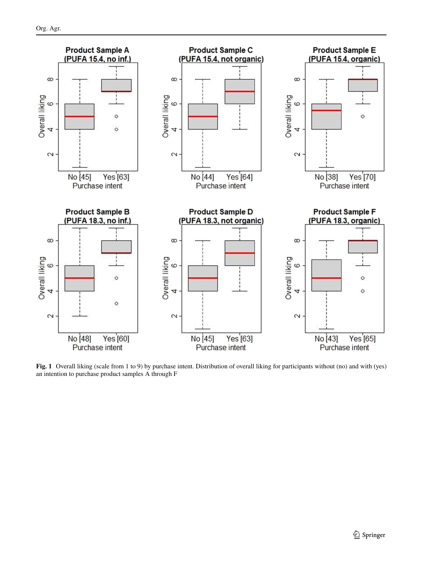

**Fig. 1** Overall liking (scale from 1 to 9) by purchase intent. Distribution of overall liking for participants without (no) and with (yes) an intention to purchase product samples A through F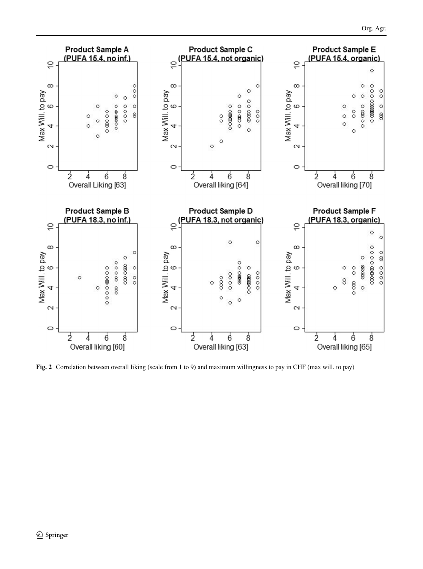

**Fig. 2** Correlation between overall liking (scale from 1 to 9) and maximum willingness to pay in CHF (max will. to pay)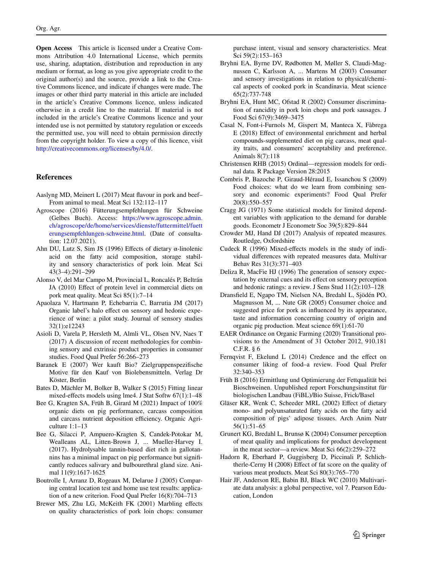**Open Access** This article is licensed under a Creative Commons Attribution 4.0 International License, which permits use, sharing, adaptation, distribution and reproduction in any medium or format, as long as you give appropriate credit to the original author(s) and the source, provide a link to the Creative Commons licence, and indicate if changes were made. The images or other third party material in this article are included in the article's Creative Commons licence, unless indicated otherwise in a credit line to the material. If material is not included in the article's Creative Commons licence and your intended use is not permitted by statutory regulation or exceeds the permitted use, you will need to obtain permission directly from the copyright holder. To view a copy of this licence, visit <http://creativecommons.org/licenses/by/4.0/>.

## **References**

- Aaslyng MD, Meinert L (2017) Meat favour in pork and beef– From animal to meal. Meat Sci 132:112–117
- Agroscope (2016) Fütterungsempfehlungen für Schweine (Gelbes Buch). Access: [https://www.agroscope.admin.](https://www.agroscope.admin.ch/agroscope/de/home/services/dienste/futtermittel/fuetterungsempfehlungen-schweine.html) [ch/agroscope/de/home/services/dienste/futtermittel/fuett](https://www.agroscope.admin.ch/agroscope/de/home/services/dienste/futtermittel/fuetterungsempfehlungen-schweine.html) [erungsempfehlungen-schweine.html.](https://www.agroscope.admin.ch/agroscope/de/home/services/dienste/futtermittel/fuetterungsempfehlungen-schweine.html) (Date of consultation: 12.07.2021).
- Ahn DU, Lutz S, Sim JS (1996) Efects of dietary α-linolenic acid on the fatty acid composition, storage stability and sensory characteristics of pork loin. Meat Sci 43(3–4):291–299
- Alonso V, del Mar Campo M, Provincial L, Roncalés P, Beltrán JA (2010) Effect of protein level in commercial diets on pork meat quality. Meat Sci 85(1):7–14
- Apaolaza V, Hartmann P, Echebarria C, Barrutia JM (2017) Organic label's halo efect on sensory and hedonic experience of wine: a pilot study. Journal of sensory studies 32(1):e12243
- Asioli D, Varela P, Hersleth M, Almli VL, Olsen NV, Naes T (2017) A discussion of recent methodologies for combining sensory and extrinsic product properties in consumer studies. Food Qual Prefer 56:266–273
- Baranek E (2007) Wer kauft Bio? Zielgruppenspezifsche Motive für den Kauf von Biolebensmitteln. Verlag Dr Köster, Berlin
- Bates D, Mächler M, Bolker B, Walker S (2015) Fitting linear mixed-efects models using lme4. J Stat Softw 67(1):1–48
- Bee G, Kragten SA, Früh B, Girard M (2021) Impact of 100% organic diets on pig performance, carcass composition and carcass nutrient deposition efficiency. Organic Agriculture 1:1–13
- Bee G, Silacci P, Ampuero-Kragten S, Candek-Potokar M, Wealleans AL, Litten-Brown J, ... Mueller-Harvey I. (2017). Hydrolysable tannin-based diet rich in gallotannins has a minimal impact on pig performance but signifcantly reduces salivary and bulbourethral gland size. Animal 11(9):1617-1625
- Boutrolle I, Arranz D, Rogeaux M, Delarue J (2005) Comparing central location test and home use test results: application of a new criterion. Food Qual Prefer 16(8):704–713
- Brewer MS, Zhu LG, McKeith FK (2001) Marbling efects on quality characteristics of pork loin chops: consumer

purchase intent, visual and sensory characteristics. Meat Sci 59(2):153–163

- Bryhni EA, Byrne DV, Rødbotten M, Møller S, Claudi-Magnussen C, Karlsson A, ... Martens M (2003) Consumer and sensory investigations in relation to physical/chemical aspects of cooked pork in Scandinavia. Meat science 65(2):737-748
- Bryhni EA, Hunt MC, Ofstad R (2002) Consumer discrimination of rancidity in pork loin chops and pork sausages. J Food Sci 67(9):3469–3475
- Casal N, Font-i-Furnols M, Gispert M, Manteca X, Fàbrega E (2018) Efect of environmental enrichment and herbal compounds-supplemented diet on pig carcass, meat quality traits, and consumers' acceptability and preference. Animals 8(7):118
- Christensen RHB (2015) Ordinal—regression models for ordinal data. R Package Version 28:2015
- Combris P, Bazoche P, Giraud-Héraud E, Issanchou S (2009) Food choices: what do we learn from combining sensory and economic experiments? Food Qual Prefer 20(8):550–557
- Cragg JG (1971) Some statistical models for limited dependent variables with application to the demand for durable goods. Econometr J Econometr Soc 39(5):829–844
- Crowder MJ, Hand DJ (2017) Analysis of repeated measures. Routledge, Oxfordshire
- Cudeck R (1996) Mixed-efects models in the study of individual diferences with repeated measures data. Multivar Behav Res 31(3):371–403
- Deliza R, MacFie HJ (1996) The generation of sensory expectation by external cues and its efect on sensory perception and hedonic ratings: a review. J Sens Stud 11(2):103–128
- Dransfeld E, Ngapo TM, Nielsen NA, Bredahl L, Sjödén PO, Magnusson M, ... Nute GR (2005) Consumer choice and suggested price for pork as infuenced by its appearance, taste and information concerning country of origin and organic pig production. Meat science 69(1):61-70
- EAER Ordinance on Organic Farming (2020) Transitional provisions to the Amendment of 31 October 2012, 910.181 C.F.R. § 6
- Fernqvist F, Ekelund L (2014) Credence and the effect on consumer liking of food–a review. Food Qual Prefer 32:340–353
- Früh B (2016) Ermittlung und Optimierung der Fettqualität bei Bioschweinen. Unpublished report Forschungsinstitut für biologischen Landbau (FiBL)/Bio Suisse, Frick/Basel
- Gläser KR, Wenk C, Scheeder MRL (2002) Efect of dietary mono- and polyunsaturated fatty acids on the fatty acid composition of pigs' adipose tissues. Arch Anim Nutr 56(1):51–65
- Grunert KG, Bredahl L, Brunsø K (2004) Consumer perception of meat quality and implications for product development in the meat sector—a review. Meat Sci 66(2):259–272
- Hadorn R, Eberhard P, Guggisberg D, Piccinali P, Schlichtherle-Cerny H (2008) Efect of fat score on the quality of various meat products. Meat Sci 80(3):765–770
- Hair JF, Anderson RE, Babin BJ, Black WC (2010) Multivariate data analysis: a global perspective, vol 7. Pearson Education, London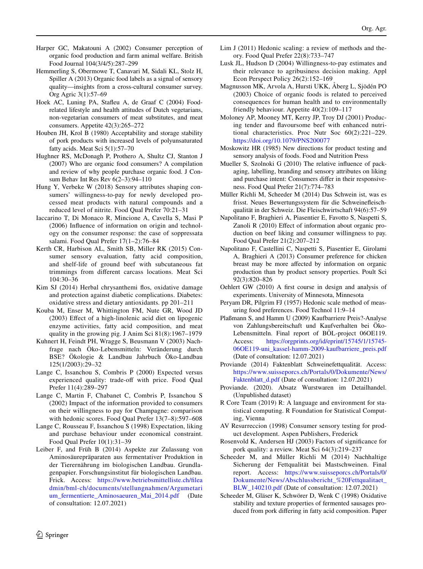- Harper GC, Makatouni A (2002) Consumer perception of organic food production and farm animal welfare. British Food Journal 104(3/4/5):287–299
- Hemmerling S, Obermowe T, Canavari M, Sidali KL, Stolz H, Spiller A (2013) Organic food labels as a signal of sensory quality—insights from a cross-cultural consumer survey. Org Agric 3(1):57–69
- Hoek AC, Luning PA, Stafeu A, de Graaf C (2004) Foodrelated lifestyle and health attitudes of Dutch vegetarians, non-vegetarian consumers of meat substitutes, and meat consumers. Appetite 42(3):265–272
- Houben JH, Krol B (1980) Acceptability and storage stability of pork products with increased levels of polyunsaturated fatty acids. Meat Sci 5(1):57–70
- Hughner RS, McDonagh P, Prothero A, Shultz CJ, Stanton J (2007) Who are organic food consumers? A compilation and review of why people purchase organic food. J Consum Behav Int Res Rev 6(2–3):94–110
- Hung Y, Verbeke W (2018) Sensory attributes shaping consumers' willingness-to-pay for newly developed processed meat products with natural compounds and a reduced level of nitrite. Food Qual Prefer 70:21–31
- Iaccarino T, Di Monaco R, Mincione A, Cavella S, Masi P (2006) Infuence of information on origin and technology on the consumer response: the case of soppressata salami. Food Qual Prefer 17(1–2):76–84
- Kerth CR, Harbison AL, Smith SB, Miller RK (2015) Consumer sensory evaluation, fatty acid composition, and shelf-life of ground beef with subcutaneous fat trimmings from diferent carcass locations. Meat Sci 104:30–36
- Kim SJ (2014) Herbal chrysanthemi flos, oxidative damage and protection against diabetic complications. Diabetes: oxidative stress and dietary antioxidants. pp 201–211
- Kouba M, Enser M, Whittington FM, Nute GR, Wood JD (2003) Efect of a high-linolenic acid diet on lipogenic enzyme activities, fatty acid composition, and meat quality in the growing pig. J Anim Sci 81(8):1967–1979
- Kuhnert H, Feindt PH, Wragge S, Beusmann V (2003) Nachfrage nach Öko-Lebensmitteln: Veränderung durch BSE? Ökologie & Landbau Jahrbuch Öko-Landbau 125(1/2003):29–32
- Lange C, Issanchou S, Combris P (2000) Expected versus experienced quality: trade-off with price. Food Qual Prefer 11(4):289–297
- Lange C, Martin F, Chabanet C, Combris P, Issanchou S (2002) Impact of the information provided to consumers on their willingness to pay for Champagne: comparison with hedonic scores. Food Qual Prefer 13(7–8):597–608
- Lange C, Rousseau F, Issanchou S (1998) Expectation, liking and purchase behaviour under economical constraint. Food Qual Prefer 10(1):31–39
- Leiber F, and Früh B (2014) Aspekte zur Zulassung von Aminosäurepräparaten aus fermentativer Produktion in der Tierernährung im biologischen Landbau. Grundlagenpapier. Forschungsinstitut für biologischen Landbau. Frick. Access: [https://www.betriebsmittelliste.ch/flea](https://www.betriebsmittelliste.ch/fileadmin/bml-ch/documents/stellungnahmen/Argumetarium_fermentierte_Aminosaeuren_Mai_2014.pdf) [dmin/bml-ch/documents/stellungnahmen/Argumetari](https://www.betriebsmittelliste.ch/fileadmin/bml-ch/documents/stellungnahmen/Argumetarium_fermentierte_Aminosaeuren_Mai_2014.pdf) [um\\_fermentierte\\_Aminosaeuren\\_Mai\\_2014.pdf](https://www.betriebsmittelliste.ch/fileadmin/bml-ch/documents/stellungnahmen/Argumetarium_fermentierte_Aminosaeuren_Mai_2014.pdf) (Date of consultation: 12.07.2021)
- Lim J (2011) Hedonic scaling: a review of methods and theory. Food Qual Prefer 22(8):733–747
- Lusk JL, Hudson D (2004) Willingness-to-pay estimates and their relevance to agribusiness decision making. Appl Econ Perspect Policy 26(2):152–169
- Magnusson MK, Arvola A, Hursti UKK, Åberg L, Sjödén PO (2003) Choice of organic foods is related to perceived consequences for human health and to environmentally friendly behaviour. Appetite 40(2):109–117
- Moloney AP, Mooney MT, Kerry JP, Troy DJ (2001) Producing tender and favoursome beef with enhanced nutritional characteristics. Proc Nutr Soc 60(2):221–229. <https://doi.org/10.1079/PNS200077>
- Moskowitz HR (1985) New directions for product testing and sensory analysis of foods. Food and Nutrition Press
- Mueller S, Szolnoki G (2010) The relative infuence of packaging, labelling, branding and sensory attributes on liking and purchase intent: Consumers difer in their responsiveness. Food Qual Prefer 21(7):774–783
- Müller Richli M, Scheeder M (2014) Das Schwein ist, was es frisst. Neues Bewertungssystem für die Schweinefeischqualität in der Schweiz. Die Fleischwirtschaft 94(6):57–59
- Napolitano F, Braghieri A, Piasentier E, Favotto S, Naspetti S, Zanoli R (2010) Efect of information about organic production on beef liking and consumer willingness to pay. Food Qual Prefer 21(2):207–212
- Napolitano F, Castellini C, Naspetti S, Piasentier E, Girolami A, Braghieri A (2013) Consumer preference for chicken breast may be more afected by information on organic production than by product sensory properties. Poult Sci 92(3):820–826
- Oehlert GW (2010) A frst course in design and analysis of experiments. University of Minnesota, Minnesota
- Peryam DR, Pilgrim FJ (1957) Hedonic scale method of measuring food preferences. Food Technol 11:9–14
- Plaßmann S, and Hamm U (2009) Kaufbarriere Preis?-Analyse von Zahlungsbereitschaft und Kaufverhalten bei Öko-Lebensmitteln. Final report of BÖL-project 06OE119. Access: [https://orgprints.org/id/eprint/15745/1/15745-](https://orgprints.org/id/eprint/15745/1/15745-06OE119-uni_kassel-hamm-2009-kaufbarriere_preis.pdf) [06OE119-uni\\_kassel-hamm-2009-kaufbarriere\\_preis.pdf](https://orgprints.org/id/eprint/15745/1/15745-06OE119-uni_kassel-hamm-2009-kaufbarriere_preis.pdf) (Date of consultation: 12.07.2021)
- Proviande (2014) Faktenblatt Schweinefettqualität. Access: [https://www.suisseporcs.ch/Portals/0/Dokumente/News/](https://www.suisseporcs.ch/Portals/0/Dokumente/News/Faktenblatt_d.pdf) [Faktenblatt\\_d.pdf](https://www.suisseporcs.ch/Portals/0/Dokumente/News/Faktenblatt_d.pdf) (Date of consultation: 12.07.2021)
- Proviande. (2020). Absatz Wurstwaren im Detailhandel. (Unpublished dataset)
- R Core Team (2019) R: A language and environment for statistical computing. R Foundation for Statistical Computing, Vienna
- AV Resurreccion (1998) Consumer sensory testing for product development. Aspen Publishers, Frederick
- Rosenvold K, Andersen HJ (2003) Factors of signifcance for pork quality: a review. Meat Sci 64(3):219–237
- Scheeder M, and Müller Richli M (2014) Nachhaltige Sicherung der Fettqualität bei Mastschweinen. Final report. Access: [https://www.suisseporcs.ch/Portals/0/](https://www.suisseporcs.ch/Portals/0/Dokumente/News/Abschlussbericht_%20Fettqualitaet_BLW_140210.pdf) [Dokumente/News/Abschlussbericht\\_%20Fettqualitaet\\_](https://www.suisseporcs.ch/Portals/0/Dokumente/News/Abschlussbericht_%20Fettqualitaet_BLW_140210.pdf) [BLW\\_140210.pdf](https://www.suisseporcs.ch/Portals/0/Dokumente/News/Abschlussbericht_%20Fettqualitaet_BLW_140210.pdf) (Date of consultation: 12.07.2021)
- Scheeder M, Gläser K, Schwörer D, Wenk C (1998) Oxidative stability and texture properties of fermented sausages produced from pork difering in fatty acid composition. Paper